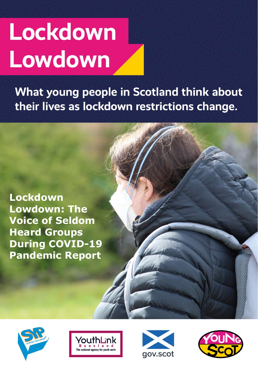# Lockdown Lowdown

What young people in Scotland think about their lives as lockdown restrictions change.







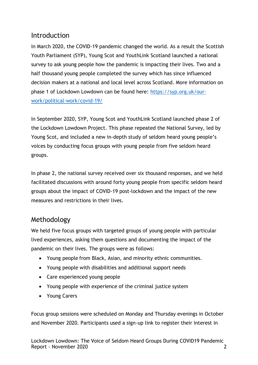# **Introduction**

In March 2020, the COVID-19 pandemic changed the world. As a result the Scottish Youth Parliament (SYP), Young Scot and YouthLink Scotland launched a national survey to ask young people how the pandemic is impacting their lives. Two and a half thousand young people completed the survey which has since influenced decision makers at a national and local level across Scotland. More information on phase 1 of Lockdown Lowdown can be found here: [https://syp.org.uk/our](https://syp.org.uk/our-work/political-work/covid-19/)[work/political-work/covid-19/](https://syp.org.uk/our-work/political-work/covid-19/)

In September 2020, SYP, Young Scot and YouthLink Scotland launched phase 2 of the Lockdown Lowdown Project. This phase repeated the National Survey, led by Young Scot, and included a new in-depth study of seldom heard young people's voices by conducting focus groups with young people from five seldom heard groups.

In phase 2, the national survey received over six thousand responses, and we held facilitated discussions with around forty young people from specific seldom heard groups about the impact of COVID-19 post-lockdown and the impact of the new measures and restrictions in their lives.

# Methodology

We held five focus groups with targeted groups of young people with particular lived experiences, asking them questions and documenting the impact of the pandemic on their lives. The groups were as follows:

- Young people from Black, Asian, and minority ethnic communities.
- Young people with disabilities and additional support needs
- Care experienced young people
- Young people with experience of the criminal justice system
- Young Carers

Focus group sessions were scheduled on Monday and Thursday evenings in October and November 2020. Participants used a sign-up link to register their interest in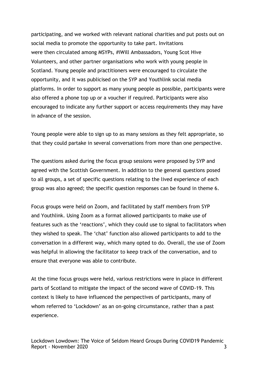participating, and we worked with relevant national charities and put posts out on social media to promote the opportunity to take part. Invitations were then circulated among MSYPs, #iWill Ambassadors, Young Scot Hive Volunteers, and other partner organisations who work with young people in Scotland. Young people and practitioners were encouraged to circulate the opportunity, and it was publicised on the SYP and Youthlink social media platforms. In order to support as many young people as possible, participants were also offered a phone top up or a voucher if required. Participants were also encouraged to indicate any further support or access requirements they may have in advance of the session.

Young people were able to sign up to as many sessions as they felt appropriate, so that they could partake in several conversations from more than one perspective.

The questions asked during the focus group sessions were proposed by SYP and agreed with the Scottish Government. In addition to the general questions posed to all groups, a set of specific questions relating to the lived experience of each group was also agreed; the specific question responses can be found in theme 6.

Focus groups were held on Zoom, and facilitated by staff members from SYP and Youthlink. Using Zoom as a format allowed participants to make use of features such as the 'reactions', which they could use to signal to facilitators when they wished to speak. The 'chat' function also allowed participants to add to the conversation in a different way, which many opted to do. Overall, the use of Zoom was helpful in allowing the facilitator to keep track of the conversation, and to ensure that everyone was able to contribute.

At the time focus groups were held, various restrictions were in place in different parts of Scotland to mitigate the impact of the second wave of COVID-19. This context is likely to have influenced the perspectives of participants, many of whom referred to 'Lockdown' as an on-going circumstance, rather than a past experience.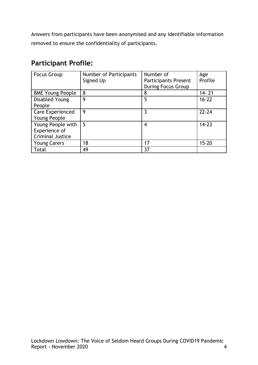Answers from participants have been anonymised and any identifiable information removed to ensure the confidentiality of participants.

# **Participant Profile:**

| <b>Focus Group</b>      | Number of Participants | Number of                   | Age       |
|-------------------------|------------------------|-----------------------------|-----------|
|                         | Signed Up              | <b>Participants Present</b> | Profile   |
|                         |                        | <b>During Focus Group</b>   |           |
| <b>BME Young People</b> | 8                      | 8                           | $14 - 21$ |
| Disabled Young          | 9                      | 5                           | $16 - 22$ |
| People                  |                        |                             |           |
| Care Experienced        | 9                      | 3                           | $22 - 24$ |
| Young People            |                        |                             |           |
| Young People with       | 5                      | 4                           | $14 - 23$ |
| Experience of           |                        |                             |           |
| Criminal Justice        |                        |                             |           |
| <b>Young Carers</b>     | 18                     | 17                          | $15 - 20$ |
| Total                   | 49                     | 37                          |           |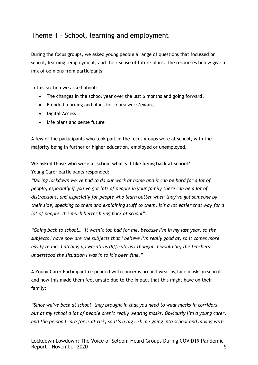# Theme 1 – School, learning and employment

During the focus groups, we asked young people a range of questions that focussed on school, learning, employment, and their sense of future plans. The responses below give a mix of opinions from participants.

In this section we asked about:

- The changes in the school year over the last 6 months and going forward.
- Blended learning and plans for coursework/exams.
- Digital Access
- Life plans and sense future

A few of the participants who took part in the focus groups were at school, with the majority being in further or higher education, employed or unemployed.

#### **We asked those who were at school what's it like being back at school?**

Young Carer participants responded:

*"During lockdown we've had to do our work at home and it can be hard for a lot of people, especially if you've got lots of people in your family there can be a lot of distractions, and especially for people who learn better when they've got someone by their side, speaking to them and explaining stuff to them, it's a lot easier that way for a lot of people. It's much better being back at school"*

*"Going back to school… 'it wasn't too bad for me, because I'm in my last year, so the subjects I have now are the subjects that I believe I'm really good at, so it comes more easily to me. Catching up wasn't as difficult as I thought it would be, the teachers understood the situation I was in so it's been fine."*

A Young Carer Participant responded with concerns around wearing face masks in schools and how this made them feel unsafe due to the impact that this might have on their family:

*"Since we've back at school, they brought in that you need to wear masks in corridors, but at my school a lot of people aren't really wearing masks. Obviously I'm a young carer, and the person I care for is at risk, so it's a big risk me going into school and mixing with*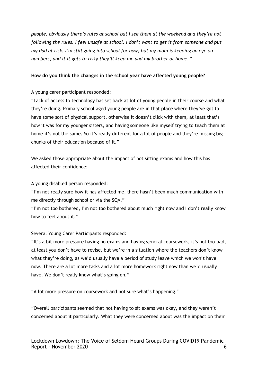*people, obviously there's rules at school but I see them at the weekend and they're not following the rules. I feel unsafe at school. I don't want to get it from someone and put my dad at risk. I'm still going into school for now, but my mum is keeping an eye on numbers, and if it gets to risky they'll keep me and my brother at home."*

#### **How do you think the changes in the school year have affected young people?**

A young carer participant responded:

"Lack of access to technology has set back at lot of young people in their course and what they're doing. Primary school aged young people are in that place where they've got to have some sort of physical support, otherwise it doesn't click with them, at least that's how it was for my younger sisters, and having someone like myself trying to teach them at home it's not the same. So it's really different for a lot of people and they're missing big chunks of their education because of it."

We asked those appropriate about the impact of not sitting exams and how this has affected their confidence:

A young disabled person responded:

"I'm not really sure how it has affected me, there hasn't been much communication with me directly through school or via the SQA."

"I'm not too bothered, I'm not too bothered about much right now and I don't really know how to feel about it."

Several Young Carer Participants responded:

"It's a bit more pressure having no exams and having general coursework, it's not too bad, at least you don't have to revise, but we're in a situation where the teachers don't know what they're doing, as we'd usually have a period of study leave which we won't have now. There are a lot more tasks and a lot more homework right now than we'd usually have. We don't really know what's going on."

"A lot more pressure on coursework and not sure what's happening."

"Overall participants seemed that not having to sit exams was okay, and they weren't concerned about it particularly. What they were concerned about was the impact on their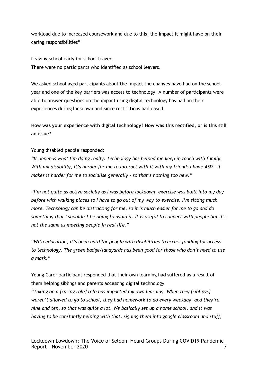workload due to increased coursework and due to this, the impact it might have on their caring responsibilities"

Leaving school early for school leavers There were no participants who identified as school leavers.

We asked school aged participants about the impact the changes have had on the school year and one of the key barriers was access to technology. A number of participants were able to answer questions on the impact using digital technology has had on their experiences during lockdown and since restrictions had eased.

**How was your experience with digital technology? How was this rectified, or is this still an issue?**

Young disabled people responded:

*"It depends what I'm doing really. Technology has helped me keep in touch with family. With my disability, it's harder for me to interact with it with my friends I have ASD – it makes it harder for me to socialise generally – so that's nothing too new."*

*"I'm not quite as active socially as I was before lockdown, exercise was built into my day before with walking places so I have to go out of my way to exercise. I'm sitting much more. Technology can be distracting for me, so it is much easier for me to go and do something that I shouldn't be doing to avoid it. It is useful to connect with people but it's not the same as meeting people in real life."*

*"With education, it's been hard for people with disabilities to access funding for access to technology. The green badge/landyards has been good for those who don't need to use a mask."*

Young Carer participant responded that their own learning had suffered as a result of them helping siblings and parents accessing digital technology.

*"Taking on a [caring role] role has impacted my own learning. When they [siblings] weren't allowed to go to school, they had homework to do every weekday, and they're nine and ten, so that was quite a lot. We basically set up a home school, and it was having to be constantly helping with that, signing them into google classroom and stuff,*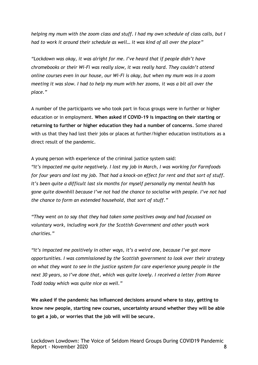*helping my mum with the zoom class and stuff. I had my own schedule of class calls, but I had to work it around their schedule as well… it was kind of all over the place"*

*"Lockdown was okay, it was alright for me. I've heard that if people didn't have chromebooks or their Wi-Fi was really slow, it was really hard. They couldn't attend online courses even in our house, our Wi-Fi is okay, but when my mum was in a zoom meeting it was slow. I had to help my mum with her zooms, it was a bit all over the place."*

A number of the participants we who took part in focus groups were in further or higher education or in employment. **When asked if COVID-19 is impacting on their starting or returning to further or higher education they had a number of concerns**. Some shared with us that they had lost their jobs or places at further/higher education institutions as a direct result of the pandemic.

A young person with experience of the criminal justice system said:

*"It's impacted me quite negatively. I lost my job in March, I was working for Farmfoods for four years and lost my job. That had a knock-on effect for rent and that sort of stuff. It's been quite a difficult last six months for myself personally my mental health has gone quite downhill because I've not had the chance to socialise with people. I've not had the chance to form an extended household, that sort of stuff."*

*"They went on to say that they had taken some positives away and had focussed on voluntary work, including work for the Scottish Government and other youth work charities."*

*"It's impacted me positively in other ways, it's a weird one, because I've got more opportunities. I was commissioned by the Scottish government to look over their strategy on what they want to see in the justice system for care experience young people in the next 30 years, so I've done that, which was quite lovely. I received a letter from Maree Todd today which was quite nice as well."* 

**We asked if the pandemic has influenced decisions around where to stay, getting to know new people, starting new courses, uncertainty around whether they will be able to get a job, or worries that the job will will be secure.**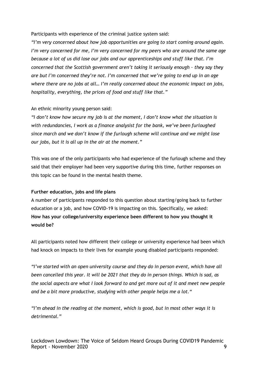Participants with experience of the criminal justice system said:

*"I'm very concerned about how job opportunities are going to start coming around again. I'm very concerned for me, I'm very concerned for my peers who are around the same age because a lot of us did lose our jobs and our apprenticeships and stuff like that. I'm concerned that the Scottish government aren't taking it seriously enough – they say they are but I'm concerned they're not. I'm concerned that we're going to end up in an age where there are no jobs at all… I'm really concerned about the economic impact on jobs, hospitality, everything, the prices of food and stuff like that."*

#### An ethnic minority young person said:

*"I don't know how secure my job is at the moment, I don't know what the situation is with redundancies, I work as a finance analysist for the bank, we've been furloughed since march and we don't know if the furlough scheme will continue and we might lose our jobs, but it is all up in the air at the moment."*

This was one of the only participants who had experience of the furlough scheme and they said that their employer had been very supportive during this time, further responses on this topic can be found in the mental health theme.

#### **Further education, jobs and life plans**

A number of participants responded to this question about starting/going back to further education or a job, and how COVID-19 is impacting on this. Specifically, we asked: **How has your college/university experience been different to how you thought it would be?**

All participants noted how different their college or university experience had been which had knock on impacts to their lives for example young disabled participants responded:

*"I've started with an open university course and they do in person event, which have all been cancelled this year. It will be 2021 that they do in person things. Which is sad, as the social aspects are what I look forward to and get more out of it and meet new people and be a bit more productive, studying with other people helps me a lot."*

*"I'm ahead in the reading at the moment, which is good, but in most other ways it is detrimental."*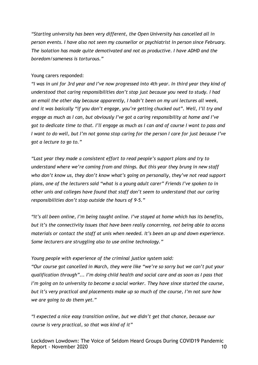*"Starting university has been very different, the Open University has cancelled all in person events. I have also not seen my counsellor or psychiatrist in person since February. The isolation has made quite demotivated and not as productive. I have ADHD and the boredom/sameness is torturous."*

#### Young carers responded:

*"I was in uni for 3rd year and I've now progressed into 4th year. In third year they kind of understood that caring responsibilities don't stop just because you need to study. I had an email the other day because apparently, I hadn't been on my uni lectures all week, and it was basically "if you don't engage, you're getting chucked out". Well, I'll try and engage as much as I can, but obviously I've got a caring responsibility at home and I've got to dedicate time to that. I'll engage as much as I can and of course I want to pass and I want to do well, but I'm not gonna stop caring for the person I care for just because I've got a lecture to go to."*

*"Last year they made a consistent effort to read people's support plans and try to understand where we're coming from and things. But this year they brung in new staff who don't know us, they don't know what's going on personally, they've not read support plans, one of the lecturers said "what is a young adult carer" Friends I've spoken to in other unis and colleges have found that staff don't seem to understand that our caring responsibilities don't stop outside the hours of 9-5."*

*"It's all been online, I'm being taught online. I've stayed at home which has its benefits, but it's the connectivity issues that have been really concerning, not being able to access materials or contact the staff at unis when needed. It's been an up and down experience. Some lecturers are struggling also to use online technology."*

#### *Young people with experience of the criminal justice system said:*

*"Our course got cancelled in March, they were like "we're so sorry but we can't put your qualification through"... I'm doing child health and social care and as soon as I pass that I'm going on to university to become a social worker. They have since started the course, but it's very practical and placements make up so much of the course, I'm not sure how we are going to do them yet."*

*"I expected a nice easy transition online, but we didn't get that chance, because our course is very practical, so that was kind of it"*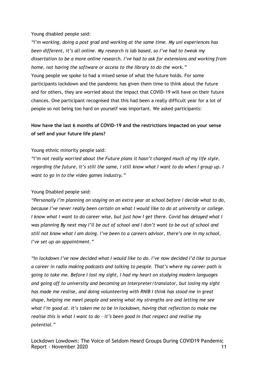Young disabled people said:

*"I'm working, doing a post grad and working at the same time. My uni experiences has been different, it's all online. My research is lab based, so I've had to tweak my dissertation to be a more online research. I've had to ask for extensions and working from home, not having the software or access to the library to do the work."* Young people we spoke to had a mixed sense of what the future holds. For some participants lockdown and the pandemic has given them time to think about the future and for others, they are worried about the impact that COVID-19 will have on their future chances. One participant recognised that this had been a really difficult year for a lot of people so not being too hard on yourself was important. We asked participants:

## **How have the last 6 months of COVID-19 and the restrictions impacted on your sense of self and your future life plans?**

#### Young ethnic minority people said:

*"I'm not really worried about the Future plans it hasn't changed much of my life style, regarding the future, it's still the same, I still know what I want to do when I group up. I want to go in to the video games industry."*

#### Young Disabled people said:

*"Personally I'm planning on staying on an extra year at school before I decide what to do, because I've never really been certain on what I would like to do at university or college. I know what I want to do career wise, but just how I get there. Covid has delayed what I was planning By next may I'll be out of school and I don't want to be out of school and still not know what I am doing. I've been to a careers advisor, there's one in my school, I've set up an appointment."*

*"In lockdown I've now decided what I would like to do. I've now decided I'd like to pursue a career in radio making podcasts and talking to people. That's where my career path is going to take me. Before I lost my sight, I had my heart on studying modern languages and going off to university and becoming an interpreter/translator, but losing my sight has made me realise, and doing volunteering with RNIB I think has stood me in great shape, helping me meet people and seeing what my strengths are and letting me see what I'm good at. It's taken me to be in lockdown, having that reflection to make me realise this is what I want to do – it's been good in that respect and realise my potential."*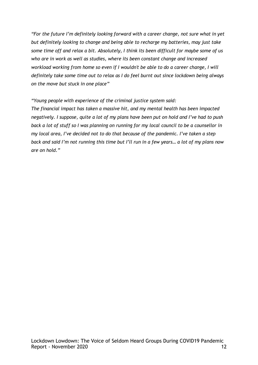*"For the future I'm definitely looking forward with a career change, not sure what in yet but definitely looking to change and being able to recharge my batteries, may just take some time off and relax a bit. Absolutely, I think its been difficult for maybe some of us who are in work as well as studies, where its been constant change and increased workload working from home so even if I wouldn't be able to do a career change, I will definitely take some time out to relax as I do feel burnt out since lockdown being always on the move but stuck in one place"*

*"Young people with experience of the criminal justice system said:* 

*The financial impact has taken a massive hit, and my mental health has been impacted negatively. I suppose, quite a lot of my plans have been put on hold and I've had to push back a lot of stuff so I was planning on running for my local council to be a counsellor in my local area, I've decided not to do that because of the pandemic. I've taken a step back and said I'm not running this time but I'll run in a few years… a lot of my plans now are on hold."*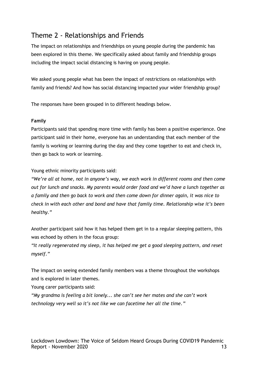# Theme 2 - Relationships and Friends

The impact on relationships and friendships on young people during the pandemic has been explored in this theme. We specifically asked about family and friendship groups including the impact social distancing is having on young people.

We asked young people what has been the impact of restrictions on relationships with family and friends? And how has social distancing impacted your wider friendship group?

The responses have been grouped in to different headings below.

#### **Family**

Participants said that spending more time with family has been a positive experience. One participant said in their home, everyone has an understanding that each member of the family is working or learning during the day and they come together to eat and check in, then go back to work or learning.

Young ethnic minority participants said:

*"We're all at home, not in anyone's way, we each work in different rooms and then come out for lunch and snacks. My parents would order food and we'd have a lunch together as a family and then go back to work and then come down for dinner again, it was nice to check in with each other and bond and have that family time. Relationship wise it's been healthy."* 

Another participant said how it has helped them get in to a regular sleeping pattern, this was echoed by others in the focus group:

*"It really regenerated my sleep, it has helped me get a good sleeping pattern, and reset myself."*

The impact on seeing extended family members was a theme throughout the workshops and is explored in later themes.

Young carer participants said:

*"My grandma is feeling a bit lonely... she can't see her mates and she can't work technology very well so it's not like we can facetime her all the time."*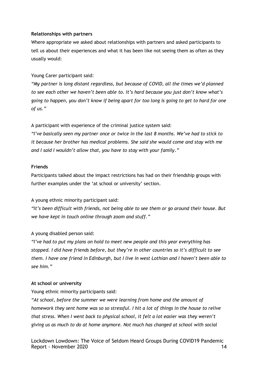#### **Relationships with partners**

Where appropriate we asked about relationships with partners and asked participants to tell us about their experiences and what it has been like not seeing them as often as they usually would:

Young Carer participant said:

*"My partner is long distant regardless, but because of COVID, all the times we'd planned to see each other we haven't been able to. It's hard because you just don't know what's going to happen, you don't know if being apart for too long is going to get to hard for one of us."*

A participant with experience of the criminal justice system said:

*"I've basically seen my partner once or twice in the last 8 months. We've had to stick to it because her brother has medical problems. She said she would come and stay with me and I said I wouldn't allow that, you have to stay with your family."*

#### **Friends**

Participants talked about the impact restrictions has had on their friendship groups with further examples under the 'at school or university' section.

A young ethnic minority participant said:

*"It's been difficult with friends, not being able to see them or go around their house. But we have kept in touch online through zoom and stuff."*

#### A young disabled person said:

*"I've had to put my plans on hold to meet new people and this year everything has stopped. I did have friends before, but they're in other countries so it's difficult to see them. I have one friend in Edinburgh, but I live in west Lothian and I haven't been able to see him."*

#### **At school or university**

Young ethnic minority participants said:

*"At school, before the summer we were learning from home and the amount of homework they sent home was so so stressful. I hit a lot of things in the house to relive that stress. When I went back to physical school, it felt a lot easier was they weren't giving us as much to do at home anymore. Not much has changed at school with social*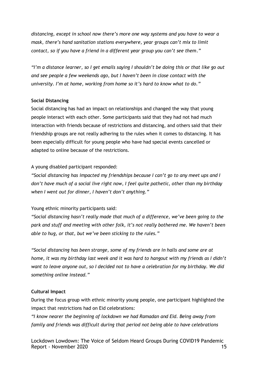*distancing, except in school now there's more one way systems and you have to wear a mask, there's hand sanitation stations everywhere, year groups can't mix to limit contact, so if you have a friend in a different year group you can't see them."*

*"I'm a distance learner, so I get emails saying I shouldn't be doing this or that like go out and see people a few weekends ago, but I haven't been in close contact with the university. I'm at home, working from home so it's hard to know what to do."*

#### **Social Distancing**

Social distancing has had an impact on relationships and changed the way that young people interact with each other. Some participants said that they had not had much interaction with friends because of restrictions and distancing, and others said that their friendship groups are not really adhering to the rules when it comes to distancing. It has been especially difficult for young people who have had special events cancelled or adapted to online because of the restrictions.

#### A young disabled participant responded:

*"Social distancing has impacted my friendships because I can't go to any meet ups and I don't have much of a social live right now, I feel quite pathetic, other than my birthday when I went out for dinner, I haven't don't anything."*

#### Young ethnic minority participants said:

*"Social distancing hasn't really made that much of a difference, we've been going to the park and stuff and meeting with other folk, it's not really bothered me. We haven't been able to hug, or that, but we've been sticking to the rules."*

*"Social distancing has been strange, some of my friends are in halls and some are at home, it was my birthday last week and it was hard to hangout with my friends as I didn't want to leave anyone out, so I decided not to have a celebration for my birthday. We did something online instead."*

#### **Cultural Impact**

During the focus group with ethnic minority young people, one participant highlighted the impact that restrictions had on Eid celebrations:

*"I know nearer the beginning of lockdown we had Ramadan and Eid. Being away from family and friends was difficult during that period not being able to have celebrations*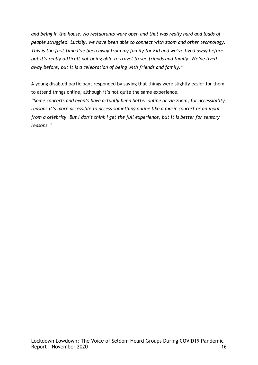*and being in the house. No restaurants were open and that was really hard and loads of people struggled. Luckily, we have been able to connect with zoom and other technology. This is the first time I've been away from my family for Eid and we've lived away before, but it's really difficult not being able to travel to see friends and family. We've lived away before, but it is a celebration of being with friends and family."*

A young disabled participant responded by saying that things were slightly easier for them to attend things online, although it's not quite the same experience.

*"Some concerts and events have actually been better online or via zoom, for accessibility reasons it's more accessible to access something online like a music concert or an input from a celebrity. But I don't think I get the full experience, but it is better for sensory reasons."*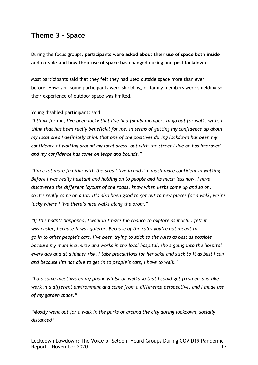# **Theme 3 - Space**

During the focus groups, **participants were asked about their use of space both inside and outside and how their use of space has changed during and post lockdown.**

Most participants said that they felt they had used outside space more than ever before. However, some participants were shielding, or family members were shielding so their experience of outdoor space was limited.

#### Young disabled participants said:

*"I think for me, I've been lucky that I've had family members to go out for walks with. I think that has been really beneficial for me, in terms of getting my confidence up about my local area I definitely think that one of the positives during lockdown has been my confidence of walking around my local areas, out with the street I live on has improved and my confidence has come on leaps and bounds."*

*"I'm a lot more familiar with the area I live in and I'm much more confident in walking. Before I was really hesitant and holding on to people and its much less now. I have discovered the different layouts of the roads, know when kerbs come up and so on, so it's really come on a lot. It's also been good to get out to new places for a walk, we're lucky where I live there's nice walks along the prom."* 

*"If this hadn't happened, I wouldn't have the chance to explore as much. I felt it was easier, because it was quieter. Because of the rules you're not meant to go in to other people's cars. I've been trying to stick to the rules as best as possible because my mum is a nurse and works in the local hospital, she's going into the hospital every day and at a higher risk. I take precautions for her sake and stick to it as best I can and because I'm not able to get in to people's cars, I have to walk."*

*"I did some meetings on my phone whilst on walks so that I could get fresh air and like work in a different environment and come from a difference perspective, and I made use of my garden space."* 

*"Mostly went out for a walk in the parks or around the city during lockdown, socially distanced"*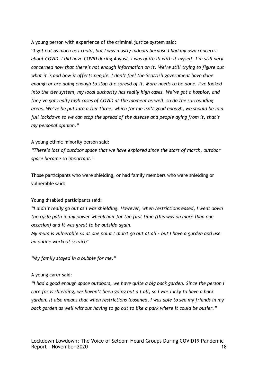A young person with experience of the criminal justice system said:

*"I got out as much as I could, but I was mostly indoors because I had my own concerns about COVID. I did have COVID during August, I was quite ill with it myself. I'm still very concerned now that there's not enough information on it. We're still trying to figure out what it is and how it affects people. I don't feel the Scottish government have done enough or are doing enough to stop the spread of it. More needs to be done. I've looked into the tier system, my local authority has really high cases. We've got a hospice, and they've got really high cases of COVID at the moment as well, so do the surrounding areas. We've be put into a tier three, which for me isn't good enough, we should be in a full lockdown so we can stop the spread of the disease and people dying from it, that's my personal opinion."*

#### A young ethnic minority person said:

*"There's lots of outdoor space that we have explored since the start of march, outdoor space became so important."* 

Those participants who were shielding, or had family members who were shielding or vulnerable said:

#### Young disabled participants said:

*"I didn't really go out as I was shielding. However, when restrictions eased, I went down the cycle path in my power wheelchair for the first time (this was on more than one occasion) and it was great to be outside again.* 

*My mum is vulnerable so at one point I didn't go out at all - but I have a garden and use an online workout service"*

*"My family stayed in a bubble for me."* 

#### A young carer said:

*"I had a good enough space outdoors, we have quite a big back garden. Since the person I care for is shielding, we haven't been going out a t all, so I was lucky to have a back garden. It also means that when restrictions loosened, I was able to see my friends in my back garden as well without having to go out to like a park where it could be busier."*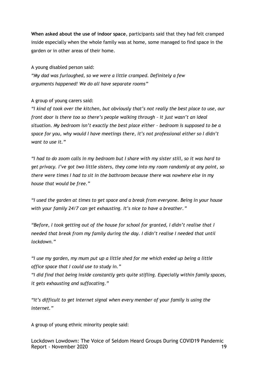**When asked about the use of indoor space**, participants said that they had felt cramped inside especially when the whole family was at home, some managed to find space in the garden or in other areas of their home.

A young disabled person said: *"My dad was furloughed, so we were a little cramped. Definitely a few arguments happened! We do all have separate rooms"*

A group of young carers said:

*"I kind of took over the kitchen, but obviously that's not really the best place to use, our front door is there too so there's people walking through – it just wasn't an ideal situation. My bedroom isn't exactly the best place either – bedroom is supposed to be a space for you, why would I have meetings there, it's not professional either so I didn't want to use it."*

*"I had to do zoom calls in my bedroom but I share with my sister still, so it was hard to get privacy. I've got two little sisters, they come into my room randomly at any point, so there were times I had to sit in the bathroom because there was nowhere else in my house that would be free."*

*"I used the garden at times to get space and a break from everyone. Being in your house with your family 24/7 can get exhausting. It's nice to have a breather."*

*"Before, I took getting out of the house for school for granted, I didn't realise that I needed that break from my family during the day. I didn't realise I needed that until lockdown."*

*"I use my garden, my mum put up a little shed for me which ended up being a little office space that I could use to study in."*

*"I did find that being inside constantly gets quite stifling. Especially within family spaces, it gets exhausting and suffocating."*

*"It's difficult to get internet signal when every member of your family is using the internet."*

A group of young ethnic minority people said:

Lockdown Lowdown: The Voice of Seldom Heard Groups During COVID19 Pandemic Report - November 2020 19 and the state of the state of the state of the state of the state of the state of the state of the state of the state of the state of the state of the state of the state of the state of the state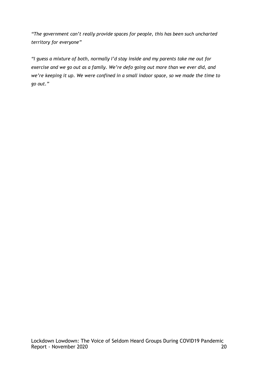*"The government can't really provide spaces for people, this has been such uncharted territory for everyone"*

*"I guess a mixture of both, normally I'd stay inside and my parents take me out for exercise and we go out as a family. We're defo going out more than we ever did, and we're keeping it up. We were confined in a small indoor space, so we made the time to go out."*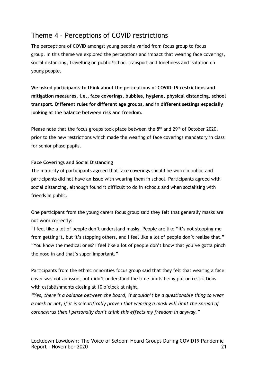# Theme 4 – Perceptions of COVID restrictions

The perceptions of COVID amongst young people varied from focus group to focus group. In this theme we explored the perceptions and impact that wearing face coverings, social distancing, travelling on public/school transport and loneliness and isolation on young people.

**We asked participants to think about the perceptions of COVID-19 restrictions and mitigation measures, i.e., face coverings, bubbles, hygiene, physical distancing, school transport. Different rules for different age groups, and in different settings especially looking at the balance between risk and freedom.** 

Please note that the focus groups took place between the 8<sup>th</sup> and 29<sup>th</sup> of October 2020, prior to the new restrictions which made the wearing of face coverings mandatory in class for senior phase pupils.

#### **Face Coverings and Social Distancing**

The majority of participants agreed that face coverings should be worn in public and participants did not have an issue with wearing them in school. Participants agreed with social distancing, although found it difficult to do in schools and when socialising with friends in public.

One participant from the young carers focus group said they felt that generally masks are not worn correctly:

"I feel like a lot of people don't understand masks. People are like "it's not stopping me from getting it, but it's stopping others, and I feel like a lot of people don't realise that." "You know the medical ones? I feel like a lot of people don't know that you've gotta pinch the nose in and that's super important."

Participants from the ethnic minorities focus group said that they felt that wearing a face cover was not an issue, but didn't understand the time limits being put on restrictions with establishments closing at 10 o'clock at night.

*"Yes, there is a balance between the board, it shouldn't be a questionable thing to wear a mask or not, if it is scientifically proven that wearing a mask will limit the spread of coronavirus then I personally don't think this effects my freedom in anyway."*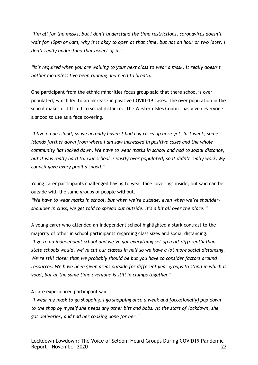*"I'm all for the masks, but I don't understand the time restrictions, coronavirus doesn't wait for 10pm or 6am, why is it okay to open at that time, but not an hour or two later, I don't really understand that aspect of it."* 

*"It's required when you are walking to your next class to wear a mask, it really doesn't bother me unless I've been running and need to breath."*

One participant from the ethnic minorities focus group said that there school is over populated, which led to an increase in positive COVID-19 cases. The over population in the school makes it difficult to social distance. The Western Isles Council has given everyone a snood to use as a face covering.

*"I live on an island, so we actually haven't had any cases up here yet, last week, some islands further down from where I am saw increased in positive cases and the whole community has locked down. We have to wear masks in school and had to social distance, but it was really hard to. Our school is vastly over populated, so it didn't really work. My council gave every pupil a snood."*

Young carer participants challenged having to wear face coverings inside, but said can be outside with the same groups of people without.

*"We have to wear masks in school, but when we're outside, even when we're shouldershoulder in class, we get told to spread out outside. It's a bit all over the place."*

A young carer who attended an Independent school highlighted a stark contrast to the majority of other in school participants regarding class sizes and social distancing. *"I go to an independent school and we've got everything set up a bit differently than state schools would, we've cut our classes in half so we have a lot more social distancing. We're still closer than we probably should be but you have to consider factors around resources. We have been given areas outside for different year groups to stand in which is good, but at the same time everyone is still in clumps together"*

#### A care experienced participant said

*"I wear my mask to go shopping. I go shopping once a week and [occasionally] pop down to the shop by myself she needs any other bits and bobs. At the start of lockdown, she got deliveries, and had her cooking done for her."*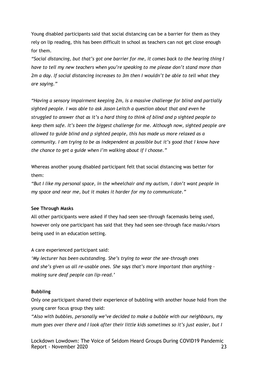Young disabled participants said that social distancing can be a barrier for them as they rely on lip reading, this has been difficult in school as teachers can not get close enough for them.

*"Social distancing, but that's got one barrier for me, it comes back to the hearing thing I have to tell my new teachers when you're speaking to me please don't stand more than 2m a day. If social distancing increases to 3m then I wouldn't be able to tell what they are saying."* 

*"Having a sensory impairment keeping 2m, is a massive challenge for blind and partially sighted people. I was able to ask Jason Leitch a question about that and even he struggled to answer that as it's a hard thing to think of blind and p sighted people to keep them safe. It's been the biggest challenge for me. Although now, sighted people are allowed to guide blind and p sighted people, this has made us more relaxed as a community. I am trying to be as independent as possible but it's good that I know have the chance to get a guide when I'm walking about if I choose."* 

Whereas another young disabled participant felt that social distancing was better for them:

*"But I like my personal space, in the wheelchair and my autism, I don't want people in my space and near me, but it makes it harder for my to communicate."* 

#### **See Through Masks**

All other participants were asked if they had seen see-through facemasks being used, however only one participant has said that they had seen see-through face masks/visors being used in an education setting.

A care experienced participant said:

*'My lecturer has been outstanding. She's trying to wear the see-through ones and she's given us all re-usable ones. She says that's more important than anything – making sure deaf people can lip-read.'*

#### **Bubbling**

Only one participant shared their experience of bubbling with another house hold from the young carer focus group they said:

*"Also with bubbles, personally we've decided to make a bubble with our neighbours, my mum goes over there and I look after their little kids sometimes so it's just easier, but I*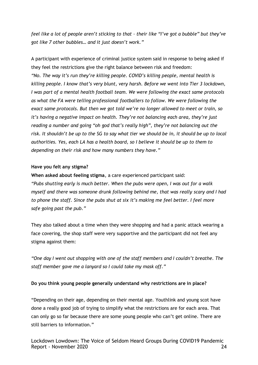*feel like a lot of people aren't sticking to that – their like "I've got a bubble" but they've got like 7 other bubbles… and it just doesn't work."*

A participant with experience of criminal justice system said in response to being asked if they feel the restrictions give the right balance between risk and freedom: *"No. The way it's run they're killing people. COVID's killing people, mental health is killing people. I know that's very blunt, very harsh. Before we went into Tier 3 lockdown, I was part of a mental health football team. We were following the exact same protocols as what the FA were telling professional footballers to follow. We were following the exact same protocols. But then we got told we're no longer allowed to meet or train, so it's having a negative impact on health. They're not balancing each area, they're just reading a number and going "oh god that's really high", they're not balancing out the risk. It shouldn't be up to the SG to say what tier we should be in, it should be up to local authorities. Yes, each LA has a health board, so I believe it should be up to them to depending on their risk and how many numbers they have."*

#### **Have you felt any stigma?**

**When asked about feeling stigma**, a care experienced participant said: *"Pubs shutting early is much better. When the pubs were open, I was out for a walk myself and there was someone drunk following behind me, that was really scary and I had to phone the staff. Since the pubs shut at six it's making me feel better. I feel more safe going past the pub."*

They also talked about a time when they were shopping and had a panic attack wearing a face covering, the shop staff were very supportive and the participant did not feel any stigma against them:

*"One day I went out shopping with one of the staff members and I couldn't breathe. The staff member gave me a lanyard so I could take my mask off."*

#### **Do you think young people generally understand why restrictions are in place?**

"Depending on their age, depending on their mental age. Youthlink and young scot have done a really good job of trying to simplify what the restrictions are for each area. That can only go so far because there are some young people who can't get online. There are still barriers to information."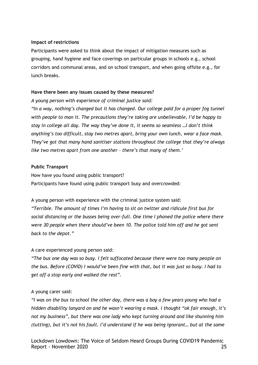#### **Impact of restrictions**

Participants were asked to think about the impact of mitigation measures such as grouping, hand hygiene and face coverings on particular groups in schools e.g., school corridors and communal areas, and on school transport, and when going offsite e.g., for lunch breaks.

#### **Have there been any issues caused by these measures?**

*A young person with experience of criminal justice said:* 

*"In a way, nothing's changed but it has changed. Our college paid for a proper fog tunnel with people to man it. The precautions they're taking are unbelievable, I'd be happy to stay in college all day. The way they've done it, it seems so seamless …I don't think anything's too difficult, stay two metres apart, bring your own lunch, wear a face mask. They've got that many hand sanitiser stations throughout the college that they're always like two metres apart from one another – there's that many of them.'*

#### **Public Transport**

How have you found using public transport? Participants have found using public transport busy and overcrowded:

A young person with experience with the criminal justice system said:

*"Terrible. The amount of times I'm having to sit on twitter and ridicule first bus for social distancing or the busses being over-full. One time I phoned the police where there were 30 people when there should've been 10. The police told him off and he got sent back to the depot."*

#### A care experienced young person said:

*"The bus one day was so busy. I felt suffocated because there were too many people on the bus. Before (COVID) I would've been fine with that, but it was just so busy. I had to get off a stop early and walked the rest".*

#### A young carer said:

*"I was on the bus to school the other day, there was a boy a few years young who had a hidden disability lanyard on and he wasn't wearing a mask. I thought "ok fair enough, it's not my business", but there was one lady who kept turning around and like shunning him (tutting), but it's not his fault. I'd understand if he was being ignorant… but at the same*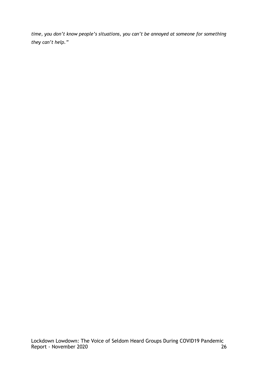*time, you don't know people's situations, you can't be annoyed at someone for something they can't help."*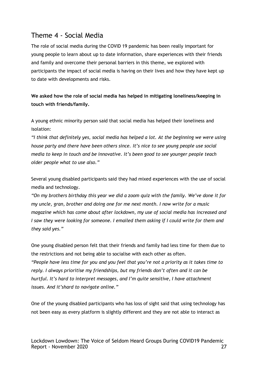# Theme 4 - Social Media

The role of social media during the COVID 19 pandemic has been really important for young people to learn about up to date information, share experiences with their friends and family and overcome their personal barriers in this theme, we explored with participants the impact of social media is having on their lives and how they have kept up to date with developments and risks.

**We asked how the role of social media has helped in mitigating loneliness/keeping in touch with friends/family.** 

A young ethnic minority person said that social media has helped their loneliness and isolation:

*"I think that definitely yes, social media has helped a lot. At the beginning we were using house party and there have been others since. It's nice to see young people use social media to keep in touch and be innovative. It's been good to see younger people teach older people what to use also."* 

Several young disabled participants said they had mixed experiences with the use of social media and technology.

*"On my brothers birthday this year we did a zoom quiz with the family. We've done it for my uncle, gran, brother and doing one for me next month. I now write for a music magazine which has come about after lockdown, my use of social media has increased and I saw they were looking for someone. I emailed them asking if I could write for them and they said yes."* 

One young disabled person felt that their friends and family had less time for them due to the restrictions and not being able to socialise with each other as often. *"People have less time for you and you feel that you're not a priority as it takes time to reply. I always prioritise my friendships, but my friends don't often and it can be hurtful. It's hard to interpret messages, and I'm quite sensitive, I have attachment issues. And it'shard to navigate online."* 

One of the young disabled participants who has loss of sight said that using technology has not been easy as every platform is slightly different and they are not able to interact as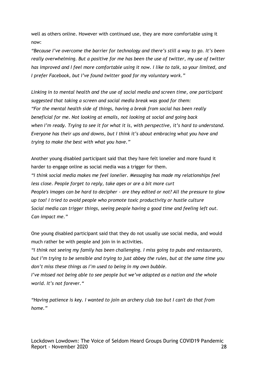well as others online. However with continued use, they are more comfortable using it now:

*"Because I've overcome the barrier for technology and there's still a way to go. It's been really overwhelming. But a positive for me has been the use of twitter, my use of twitter has improved and I feel more comfortable using it now. I like to talk, so your limited, and I prefer Facebook, but I've found twitter good for my voluntary work."*

*Linking in to mental health and the use of social media and screen time, one participant suggested that taking a screen and social media break was good for them: "For the mental health side of things, having a break from social has been really beneficial for me. Not looking at emails, not looking at social and going back when I'm ready. Trying to see it for what it is, with perspective, it's hard to understand. Everyone has their ups and downs, but I think it's about embracing what you have and trying to make the best with what you have."* 

Another young disabled participant said that they have felt lonelier and more found it harder to engage online as social media was a trigger for them.

*"I think social media makes me feel lonelier. Messaging has made my relationships feel less close. People forget to reply, take ages or are a bit more curt People's images can be hard to decipher - are they edited or not? All the pressure to glow up too! I tried to avoid people who promote toxic productivity or hustle culture Social media can trigger things, seeing people having a good time and feeling left out. Can impact me."* 

One young disabled participant said that they do not usually use social media, and would much rather be with people and join in in activities.

*"I think not seeing my family has been challenging. I miss going to pubs and restaurants, but I'm trying to be sensible and trying to just abbey the rules, but at the same time you don't miss these things as I'm used to being in my own bubble.* 

*I've missed not being able to see people but we've adapted as a nation and the whole world. It's not forever."*

*"Having patience is key. I wanted to join an archery club too but I can't do that from home."*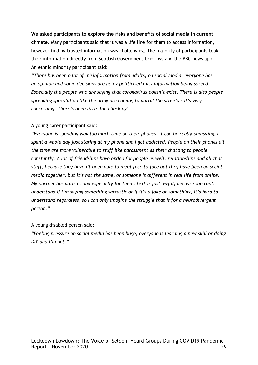**We asked participants to explore the risks and benefits of social media in current climate**. Many participants said that it was a life line for them to access information, however finding trusted information was challenging. The majority of participants took their information directly from Scottish Government briefings and the BBC news app. An ethnic minority participant said:

*"There has been a lot of misinformation from adults, on social media, everyone has an opinion and some decisions are being politicised miss information being spread. Especially the people who are saying that coronavirus doesn't exist. There is also people spreading speculation like the army are coming to patrol the streets – it's very concerning. There's been little factchecking"* 

#### A young carer participant said:

*"Everyone is spending way too much time on their phones, it can be really damaging. I spent a whole day just staring at my phone and I got addicted. People on their phones all the time are more vulnerable to stuff like harassment as their chatting to people constantly. A lot of friendships have ended for people as well, relationships and all that stuff, because they haven't been able to meet face to face but they have been on social media together, but it's not the same, or someone is different in real life from online. My partner has autism, and especially for them, text is just awful, because she can't understand if I'm saying something sarcastic or if it's a joke or something, it's hard to understand regardless, so I can only imagine the struggle that is for a neurodivergent person."*

#### A young disabled person said:

*"Feeling pressure on social media has been huge, everyone is learning a new skill or doing DIY and I'm not."*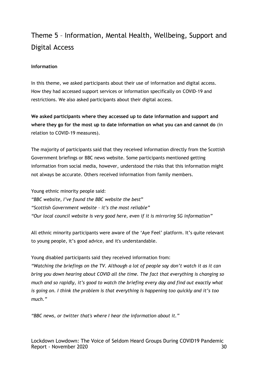# Theme 5 – Information, Mental Health, Wellbeing, Support and Digital Access

#### **Information**

In this theme, we asked participants about their use of information and digital access. How they had accessed support services or information specifically on COVID-19 and restrictions. We also asked participants about their digital access.

**We asked participants where they accessed up to date information and support and where they go for the most up to date information on what you can and cannot do** (in relation to COVID-19 measures).

The majority of participants said that they received information directly from the Scottish Government briefings or BBC news website. Some participants mentioned getting information from social media, however, understood the risks that this information might not always be accurate. Others received information from family members.

Young ethnic minority people said: *"BBC website, I've found the BBC website the best*" *"Scottish Government website – it's the most reliable" "Our local council website is very good here, even if it is mirroring SG information"*

All ethnic minority participants were aware of the 'Aye Feel' platform. It's quite relevant to young people, it's good advice, and it's understandable.

Young disabled participants said they received information from:

*"Watching the briefings on the TV. Although a lot of people say don't watch it as it can bring you down hearing about COVID all the time. The fact that everything is changing so much and so rapidly, it's good to watch the briefing every day and find out exactly what is going on. I think the problem is that everything is happening too quickly and it's too much."*

*"BBC news, or twitter that's where I hear the information about it."*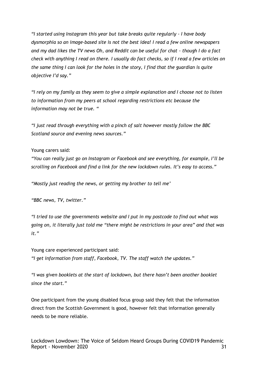*"I started using Instagram this year but take breaks quite regularly - I have body dysmorphia so an image-based site is not the best idea! I read a few online newspapers and my dad likes the TV news Oh, and Reddit can be useful for chat - though I do a fact check with anything I read on there. I usually do fact checks, so if I read a few articles on the same thing I can look for the holes in the story, I find that the guardian is quite objective I'd say."*

*"I rely on my family as they seem to give a simple explanation and I choose not to listen to information from my peers at school regarding restrictions etc because the information may not be true. "*

*"I just read through everything with a pinch of salt however mostly follow the BBC Scotland source and evening news sources."*

#### Young carers said:

*"You can really just go on Instagram or Facebook and see everything, for example, I'll be scrolling on Facebook and find a link for the new lockdown rules. It's easy to access."*

*"Mostly just reading the news, or getting my brother to tell me'*

*"BBC news, TV, twitter."*

*"I tried to use the governments website and I put in my postcode to find out what was going on, it literally just told me "there might be restrictions in your area" and that was it."*

Young care experienced participant said: *"I get information from staff, Facebook, TV. The staff watch the updates."*

*"I was given booklets at the start of lockdown, but there hasn't been another booklet since the start."*

One participant from the young disabled focus group said they felt that the information direct from the Scottish Government is good, however felt that information generally needs to be more reliable.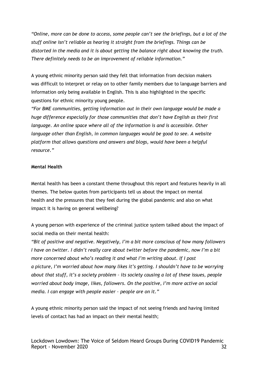*"Online, more can be done to access, some people can't see the briefings, but a lot of the stuff online isn't reliable as hearing it straight from the briefings. Things can be distorted in the media and it is about getting the balance right about knowing the truth. There definitely needs to be an improvement of reliable information."*

A young ethnic minority person said they felt that information from decision makers was difficult to interpret or relay on to other family members due to language barriers and information only being available in English. This is also highlighted in the specific questions for ethnic minority young people.

*"For BME communities, getting information out in their own language would be made a huge difference especially for those communities that don't have English as their first language. An online space where all of the information is and is accessible. Other language other than English, in common languages would be good to see. A website platform that allows questions and answers and blogs, would have been a helpful resource."* 

#### **Mental Health**

Mental health has been a constant theme throughout this report and features heavily in all themes. The below quotes from participants tell us about the impact on mental health and the pressures that they feel during the global pandemic and also on what impact it is having on general wellbeing?

A young person with experience of the criminal justice system talked about the impact of social media on their mental health:

*"Bit of positive and negative. Negatively, I'm a bit more conscious of how many followers I have on twitter. I didn't really care about twitter before the pandemic, now I'm a bit more concerned about who's reading it and what I'm writing about. If I post a picture, I'm worried about how many likes it's getting. I shouldn't have to be worrying about that stuff, it's a society problem – its society causing a lot of these issues, people worried about body image, likes, followers. On the positive, I'm more active on social media. I can engage with people easier – people are on it."*

A young ethnic minority person said the impact of not seeing friends and having limited levels of contact has had an impact on their mental health;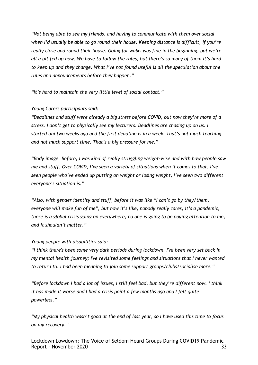*"Not being able to see my friends, and having to communicate with them over social when I'd usually be able to go round their house. Keeping distance is difficult, if you're really close and round their house. Going for walks was fine in the beginning, but we're all a bit fed up now. We have to follow the rules, but there's so many of them it's hard to keep up and they change. What I've not found useful is all the speculation about the rules and announcements before they happen."*

*"It's hard to maintain the very little level of social contact."*

#### *Young Carers participants said:*

*"Deadlines and stuff were already a big stress before COVID, but now they're more of a stress. I don't get to physically see my lecturers. Deadlines are chasing up on us. I started uni two weeks ago and the first deadline is in a week. That's not much teaching and not much support time. That's a big pressure for me."*

*"Body image. Before, I was kind of really struggling weight-wise and with how people saw me and stuff. Over COVID, I've seen a variety of situations when it comes to that. I've seen people who've ended up putting on weight or losing weight, I've seen two different everyone's situation is."*

*"Also, with gender identity and stuff, before it was like "I can't go by they/them, everyone will make fun of me", but now it's like, nobody really cares, it's a pandemic, there is a global crisis going on everywhere, no one is going to be paying attention to me, and it shouldn't matter."*

#### *Young people with disabilities said:*

*"I think there's been some very dark periods during lockdown. I've been very set back in my mental health journey; I've revisited some feelings and situations that I never wanted to return to. I had been meaning to join some support groups/clubs/socialise more."*

*"Before lockdown I had a lot of issues, I still feel bad, but they're different now. I think it has made it worse and I had a crisis point a few months ago and I felt quite powerless."*

*"My physical health wasn't good at the end of last year, so I have used this time to focus on my recovery."*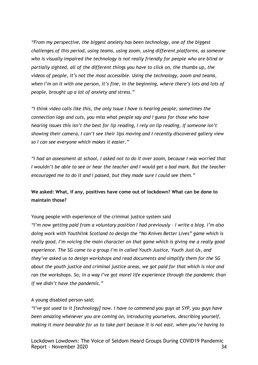*"From my perspective, the biggest anxiety has been technology, one of the biggest challenges of this period, using teams, using zoom, using different platforms, as someone who is visually impaired the technology is not really friendly for people who are blind or partially sighted, all of the different things you have to click on, the thumbs up, the videos of people, it's not the most accessible. Using the technology, zoom and teams, when I'm on it with one person, it's fine, in the beginning, where there's lots and lots of people, brought up a lot of anxiety and stress."*

*"I think video calls like this, the only issue I have is hearing people, sometimes the connection lags and cuts, you miss what people say and I guess for those who have hearing issues this isn't the best for lip reading, I rely on lip reading, if someone isn't showing their camera, I can't see their lips moving and I recently discovered gallery view so I can see everyone which makes it easier."*

*"I had an assessment at school, I asked not to do it over zoom, because I was worried that I wouldn't be able to see or hear the teacher and I would get a bad mark. But the teacher encouraged me to do it and I passed, but they made sure I could see them."*

### **We asked: What, if any, positives have come out of lockdown? What can be done to maintain those?**

Young people with experience of the criminal justice system said

*"I'm now getting paid from a voluntary position I had previously - I write a blog. I'm also doing work with Youthlink Scotland to design the "No Knives Better Lives" game which is really good, I'm voicing the main character on that game which is giving me a really good experience. The SG came to a group I'm in called Youth Justice, Youth Just Us, and they've asked us to design workshops and read documents and simplify them for the SG about the youth justice and criminal justice areas, we got paid for that which is nice and ran the workshops. So, in a way I've got morel life experience through the pandemic than if we didn't have the pandemic."*

#### A young disabled person said;

*"I've got used to it [technology] now. I have to commend you guys at SYP, you guys have been amazing whenever you are coming on, introducing yourselves, describing yourself, making it more bearable for us to take part because it is not east, when you're having to*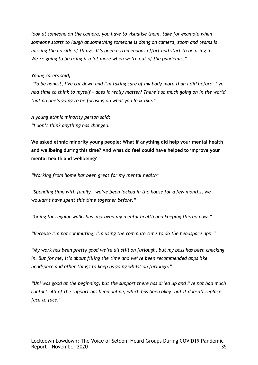*look at someone on the camera, you have to visualise them, take for example when someone starts to laugh at something someone is doing on camera, zoom and teams is missing the ad side of things. It's been a tremendous effort and start to be using it. We're going to be using it a lot more when we're out of the pandemic."*

*Young carers said;*

*"To be honest, I've cut down and I'm taking care of my body more than I did before. I've had time to think to myself – does it really matter? There's so much going on in the world that no one's going to be focusing on what you look like."*

*A young ethnic minority person said: "I don't think anything has changed."*

**We asked ethnic minority young people: What if anything did help your mental health and wellbeing during this time? And what do feel could have helped to improve your mental health and wellbeing?**

*"Working from home has been great for my mental health"*

*"Spending time with family – we've been locked in the house for a few months, we wouldn't have spent this time together before."*

*"Going for regular walks has improved my mental health and keeping this up now."*

*"Because I'm not commuting, I'm using the commute time to do the headspace app."*

*"My work has been pretty good we're all still on furlough, but my boss has been checking in. But for me, it's about filling the time and we've been recommended apps like headspace and other things to keep us going whilst on furlough."*

*"Uni was good at the beginning, but the support there has dried up and I've not had much contact. All of the support has been online, which has been okay, but it doesn't replace face to face."*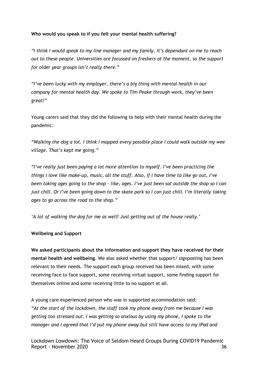#### **Who would you speak to if you felt your mental health suffering?**

*"I think I would speak to my line manager and my family. It's dependant on me to reach out to these people. Universities are focussed on freshers at the moment, so the support for older year groups isn't really there."*

*"I've been lucky with my employer, there's a big thing with mental health in our company for mental health day. We spoke to Tim Peake through work, they've been great!"*

Young carers said that they did the following to help with their mental health during the pandemic:

*"Walking the dog a lot. I think I mapped every possible place I could walk outside my wee village. That's kept me going."*

*"I've really just been paying a lot more attention to myself. I've been practicing the things I love like make-up, music, all the stuff. Also, if I have time to like go out, I've been taking ages going to the shop – like, ages. I've just been sat outside the shop so I can just chill. Or I've been going down to the skate park so I can just chill. I'm literally taking ages to go across the road to the shop."*

*'A lot of walking the dog for me as well! Just getting out of the house really.'*

#### **Wellbeing and Support**

**We asked participants about the information and support they have received for their mental health and wellbeing**. We also asked whether that support/ signposting has been relevant to their needs. The support each group received has been mixed, with some receiving face to face support, some receiving virtual support, some finding support for themselves online and some receiving little to no support at all.

A young care experienced person who was in supported accommodation said: *"At the start of the lockdown, the staff took my phone away from me because I was getting too stressed out. I was getting so anxious by using my phone, I spoke to the manager and I agreed that I'd put my phone away but still have access to my iPad and*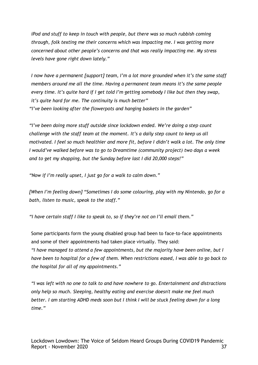*iPod and stuff to keep in touch with people, but there was so much rubbish coming through, folk texting me their concerns which was impacting me. I was getting more concerned about other people's concerns and that was really impacting me. My stress levels have gone right down lately."*

*I now have a permanent [support] team, I'm a lot more grounded when it's the same staff members around me all the time. Having a permanent team means it's the same people every time. It's quite hard if I get told I'm getting somebody I like but then they swap, it's quite hard for me. The continuity is much better" "I've been looking after the flowerpots and hanging baskets in the garden"*

*"I've been doing more stuff outside since lockdown ended. We're doing a step count challenge with the staff team at the moment. It's a daily step count to keep us all motivated. I feel so much healthier and more fit, before I didn't walk a lot. The only time I would've walked before was to go to Dreamtime (community project) two days a week and to get my shopping, but the Sunday before last I did 20,000 steps!"*

*"Now if I'm really upset, I just go for a walk to calm down."*

*[When I'm feeling down] "Sometimes I do some colouring, play with my Nintendo, go for a bath, listen to music, speak to the staff."*

*"I have certain staff I like to speak to, so if they're not on I'll email them."*

Some participants form the young disabled group had been to face-to-face appointments and some of their appointments had taken place virtually. They said:

*"I have managed to attend a few appointments, but the majority have been online, but I have been to hospital for a few of them. When restrictions eased, I was able to go back to the hospital for all of my appointments."*

*"I was left with no one to talk to and have nowhere to go. Entertainment and distractions only help so much. Sleeping, healthy eating and exercise doesn't make me feel much better. I am starting ADHD meds soon but I think I will be stuck feeling down for a long time."*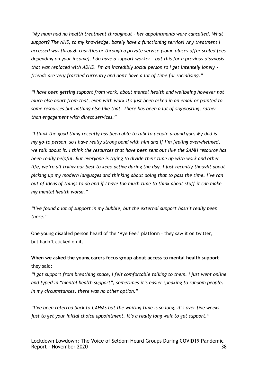*"My mum had no health treatment throughout - her appointments were cancelled. What support? The NHS, to my knowledge, barely have a functioning service! Any treatment I accessed was through charities or through a private service (some places offer scaled fees depending on your income). I do have a support worker - but this for a previous diagnosis that was replaced with ADHD. I'm an incredibly social person so I get intensely lonely friends are very frazzled currently and don't have a lot of time for socialising."*

*"I have been getting support from work, about mental health and wellbeing however not much else apart from that, even with work it's just been asked in an email or pointed to some resources but nothing else like that. There has been a lot of signposting, rather than engagement with direct services."*

*"I think the good thing recently has been able to talk to people around you. My dad is my go-to person, so I have really strong bond with him and if I'm feeling overwhelmed, we talk about it. I think the resources that have been sent out like the SAMH resource has been really helpful. But everyone is trying to divide their time up with work and other life, we're all trying our best to keep active during the day. I just recently thought about picking up my modern languages and thinking about doing that to pass the time. I've ran out of ideas of things to do and if I have too much time to think about stuff it can make my mental health worse."* 

"I've found a lot of support in my bubble, but the external support hasn't really been *there."*

One young disabled person heard of the 'Aye Feel' platform – they saw it on twitter, but hadn't clicked on it.

## **When we asked the young carers focus group about access to mental health support** they said:

*"I got support from breathing space, I felt comfortable talking to them. I just went online and typed in "mental health support", sometimes it's easier speaking to random people. In my circumstances, there was no other option."*

*"I've been referred back to CAHMS but the waiting time is so long, it's over five weeks just to get your initial choice appointment. It's a really long wait to get support."*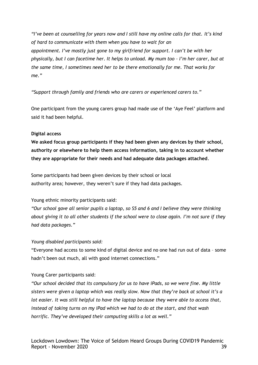*"I've been at counselling for years now and I still have my online calls for that. It's kind of hard to communicate with them when you have to wait for an appointment. I've mostly just gone to my girlfriend for support. I can't be with her physically, but I can facetime her. It helps to unload. My mum too – I'm her carer, but at the same time, I sometimes need her to be there emotionally for me. That works for me."*

*"Support through family and friends who are carers or experienced carers to."*

One participant from the young carers group had made use of the 'Aye Feel' platform and said it had been helpful.

#### **Digital access**

**We asked focus group participants if they had been given any devices by their school, authority or elsewhere to help them access information, taking in to account whether they are appropriate for their needs and had adequate data packages attached**.

Some participants had been given devices by their school or local authority area; however, they weren't sure if they had data packages.

#### Young ethnic minority participants said:

*"Our school gave all senior pupils a laptop, so S5 and 6 and I believe they were thinking about giving it to all other students if the school were to close again. I'm not sure if they had data packages."*

#### *Young disabled participants said:*

"Everyone had access to some kind of digital device and no one had run out of data – some hadn't been out much, all with good internet connections."

#### Young Carer participants said:

*"Our school decided that its compulsory for us to have iPads, so we were fine. My little sisters were given a laptop which was really slow. Now that they're back at school it's a lot easier. It was still helpful to have the laptop because they were able to access that, instead of taking turns on my iPad which we had to do at the start, and that wash horrific. They've developed their computing skills a lot as well."*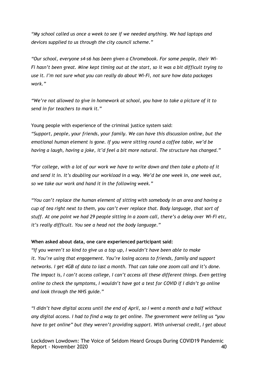*"My school called us once a week to see if we needed anything. We had laptops and devices supplied to us through the city council scheme."*

*"Our school, everyone s4-s6 has been given a Chromebook. For some people, their Wi-Fi hasn't been great. Mine kept timing out at the start, so it was a bit difficult trying to use it. I'm not sure what you can really do about Wi-Fi, not sure how data packages work."*

*"We're not allowed to give in homework at school, you have to take a picture of it to send in for teachers to mark it."*

Young people with experience of the criminal justice system said:

*"Support, people, your friends, your family. We can have this discussion online, but the emotional human element is gone. If you were sitting round a coffee table, we'd be having a laugh, having a joke, it'd feel a bit more natural. The structure has changed."*

*"For college, with a lot of our work we have to write down and then take a photo of it and send it in. It's doubling our workload in a way. We'd be one week in, one week out, so we take our work and hand it in the following week."*

*"You can't replace the human element of sitting with somebody in an area and having a cup of tea right next to them, you can't ever replace that. Body language, that sort of stuff. At one point we had 29 people sitting in a zoom call, there's a delay over Wi-Fi etc, it's really difficult. You see a head not the body language."*

#### **When asked about data, one care experienced participant said:**

*"If you weren't so kind to give us a top up, I wouldn't have been able to make it. You're using that engagement. You're losing access to friends, family and support networks. I get 4GB of data to last a month. That can take one zoom call and it's done. The impact is, I can't access college, I can't access all these different things. Even getting online to check the symptoms, I wouldn't have got a test for COVID if I didn't go online and look through the NHS guide."*

*"I didn't have digital access until the end of April, so I went a month and a half without any digital access. I had to find a way to get online. The government were telling us "you have to get online" but they weren't providing support. With universal credit, I get about*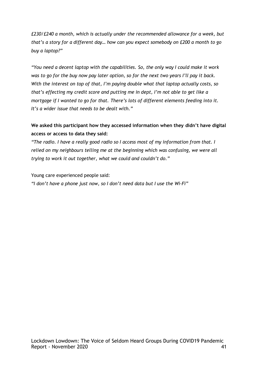*£230/£240 a month, which is actually under the recommended allowance for a week, but that's a story for a different day… how can you expect somebody on £200 a month to go buy a laptop?"*

*"You need a decent laptop with the capabilities. So, the only way I could make it work was to go for the buy now pay later option, so for the next two years I'll pay it back. With the interest on top of that, I'm paying double what that laptop actually costs, so that's effecting my credit score and putting me in dept, I'm not able to get like a mortgage if I wanted to go for that. There's lots of different elements feeding into it. It's a wider issue that needs to be dealt with."*

## **We asked this participant how they accessed information when they didn't have digital access or access to data they said:**

*"The radio. I have a really good radio so I access most of my information from that. I relied on my neighbours telling me at the beginning which was confusing, we were all trying to work it out together, what we could and couldn't do."*

Young care experienced people said:

*"I don't have a phone just now, so I don't need data but I use the Wi-Fi"*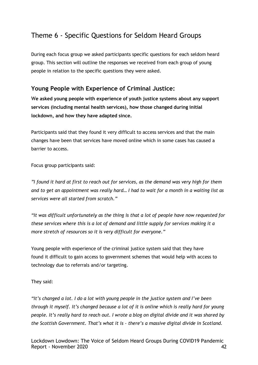# Theme 6 - Specific Questions for Seldom Heard Groups

During each focus group we asked participants specific questions for each seldom heard group. This section will outline the responses we received from each group of young people in relation to the specific questions they were asked.

## **Young People with Experience of Criminal Justice:**

W**e asked young people with experience of youth justice systems about any support services (including mental health services), how those changed during initial lockdown, and how they have adapted since.** 

Participants said that they found it very difficult to access services and that the main changes have been that services have moved online which in some cases has caused a barrier to access.

Focus group participants said:

*"I found it hard at first to reach out for services, as the demand was very high for them and to get an appointment was really hard… I had to wait for a month in a waiting list as services were all started from scratch."*

*"It was difficult unfortunately as the thing is that a lot of people have now requested for these services where this is a lot of demand and little supply for services making it a more stretch of resources so it is very difficult for everyone."*

Young people with experience of the criminal justice system said that they have found it difficult to gain access to government schemes that would help with access to technology due to referrals and/or targeting.

They said:

*"It's changed a lot. I do a lot with young people in the justice system and I've been through it myself. It's changed because a lot of it is online which is really hard for young people. It's really hard to reach out. I wrote a blog on digital divide and it was shared by the Scottish Government. That's what it is - there's a massive digital divide in Scotland.*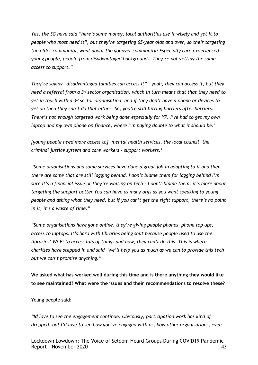*Yes, the SG have said "here's some money, local authorities use it wisely and get it to people who most need it", but they're targeting 65-year olds and over, so their targeting the older community, what about the younger community? Especially care experienced young people, people from disadvantaged backgrounds. They're not getting the same access to support."*

*They're saying "disadvantaged families can access it" – yeah, they can access it, but they need a referral from a 3rd sector organisation, which in turn means that that they need to get in touch with a 3rd sector organisation, and if they don't have a phone or devices to get on then they can't do that either. So, you're still hitting barriers after barriers. There's not enough targeted work being done especially for YP. I've had to get my own laptop and my own phone on finance, where I'm paying double to what it should be.'*

*[young people need more access to] 'mental health services, the local council, the criminal justice system and care workers – support workers.'*

*"Some organisations and some services have done a great job in adapting to it and then there are some that are still lagging behind. I don't blame them for lagging behind I'm sure it's a financial issue or they're waiting on tech – I don't blame them, it's more about targeting the support better You can have as many orgs as you want speaking to young people and asking what they need, but if you can't get the right support, there's no point in it, it's a waste of time."*

*"Some organisations have gone online, they're giving people phones, phone top ups, access to laptops. It's hard with libraries being shut because people used to use the libraries' Wi-Fi to access lots of things and now, they can't do this. This is where charities have stepped in and said "we'll help you as much as we can to provide this tech but we can't promise anything."*

**We asked what has worked well during this time and is there anything they would like to see maintained? What were the issues and their recommendations to resolve these?**

Young people said:

*"Id love to see the engagement continue. Obviously, participation work has kind of dropped, but I'd love to see how you've engaged with us, how other organisations, even* 

Lockdown Lowdown: The Voice of Seldom Heard Groups During COVID19 Pandemic Report - November 2020 and the set of the set of the set of the set of the set of the set of the set of the set of the set of the set of the set of the set of the set of the set of the set of the set of the set of the set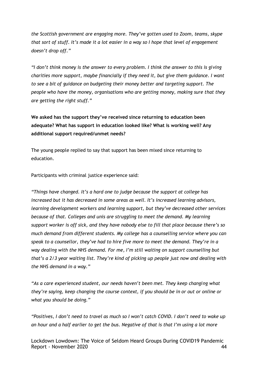*the Scottish government are engaging more. They've gotten used to Zoom, teams, skype that sort of stuff. It's made it a lot easier in a way so I hope that level of engagement doesn't drop off."*

*"I don't think money is the answer to every problem. I think the answer to this is giving charities more support, maybe financially if they need it, but give them guidance. I want to see a bit of guidance on budgeting their money better and targeting support. The people who have the money, organisations who are getting money, making sure that they are getting the right stuff."*

**We asked has the support they've received since returning to education been adequate? What has support in education looked like? What is working well? Any additional support required/unmet needs?**

The young people replied to say that support has been mixed since returning to education.

Participants with criminal justice experience said:

*"Things have changed. It's a hard one to judge because the support at college has increased but it has decreased in some areas as well. It's increased learning advisors, learning development workers and learning support, but they've decreased other services because of that. Colleges and unis are struggling to meet the demand. My learning support worker is off sick, and they have nobody else to fill that place because there's so much demand from different students. My college has a counselling service where you can speak to a counsellor, they've had to hire five more to meet the demand. They're in a way dealing with the NHS demand. For me, I'm still waiting on support counselling but that's a 2/3 year waiting list. They're kind of picking up people just now and dealing with the NHS demand in a way."*

*"As a care experienced student, our needs haven't been met. They keep changing what they're saying, keep changing the course context, if you should be in or out or online or what you should be doing."*

*"Positives, I don't need to travel as much so I won't catch COVID. I don't need to wake up an hour and a half earlier to get the bus. Negative of that is that I'm using a lot more*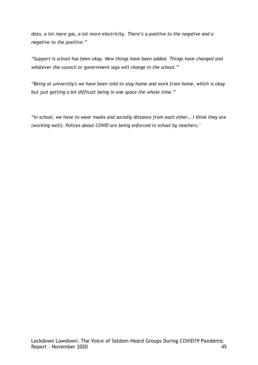*data, a lot more gas, a lot more electricity. There's a positive to the negative and a negative to the positive."*

*"Support is school has been okay. New things have been added. Things have changed and whatever the council or government says will change in the school."*

*"Being at university's we have been told to stay home and work from home, which is okay but just getting a bit difficult being in one space the whole time."*

*"In school, we have to wear masks and socially distance from each other… I think they are (working well). Polices about COVID are being enforced in school by teachers.'*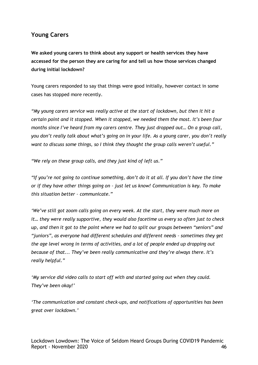## **Young Carers**

**We asked young carers to think about any support or health services they have accessed for the person they are caring for and tell us how those services changed during initial lockdown?**

Young carers responded to say that things were good initially, however contact in some cases has stopped more recently.

*"My young carers service was really active at the start of lockdown, but then it hit a certain point and it stopped. When it stopped, we needed them the most. It's been four months since I've heard from my carers centre. They just dropped out… On a group call, you don't really talk about what's going on in your life. As a young carer, you don't really want to discuss some things, so I think they thought the group calls weren't useful."*

*"We rely on these group calls, and they just kind of left us."*

*"If you're not going to continue something, don't do it at all. If you don't have the time or if they have other things going on – just let us know! Communication is key. To make this situation better – communicate."*

*'We've still got zoom calls going on every week. At the start, they were much more on it… they were really supportive, they would also facetime us every so often just to check up, and then it got to the point where we had to split our groups between "seniors" and "juniors", as everyone had different schedules and different needs – sometimes they get the age level wrong in terms of activities, and a lot of people ended up dropping out because of that... They've been really communicative and they're always there. It's really helpful."*

*'My service did video calls to start off with and started going out when they could. They've been okay!'*

*'The communication and constant check-ups, and notifications of opportunities has been great over lockdown.'*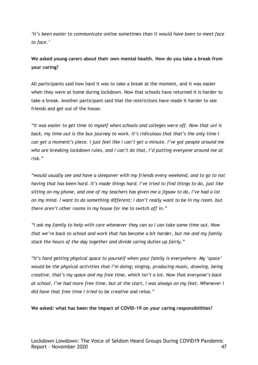*'It's been easier to communicate online sometimes than it would have been to meet face to face.'*

## **We asked young carers about their own mental health. How do you take a break from your caring?**

All participants said how hard it was to take a break at the moment, and it was easier when they were at home during lockdown. Now that schools have returned it is harder to take a break. Another participant said that the restrictions have made it harder to see friends and get out of the house.

*"It was easier to get time to myself when schools and colleges were off. Now that uni is back, my time out is the bus journey to work. It's ridiculous that that's the only time I can get a moment's piece. I just feel like I can't get a minute. I've got people around me who are breaking lockdown rules, and I can't do that, I'd putting everyone around me at risk."*

*"would usually see and have a sleepover with my friends every weekend, and to go to not having that has been hard. It's made things hard. I've tried to find things to do, just like sitting on my phone, and one of my teachers has given me a jigsaw to do, I've had a lot on my mind. I want to do something different; I don't really want to be in my room, but there aren't other rooms in my house for me to switch off in."*

*"I ask my family to help with care whenever they can so I can take some time out. Now that we're back to school and work that has become a bit harder, but me and my family stack the hours of the day together and divide caring duties up fairly."*

*"It's hard getting physical space to yourself when your family is everywhere. My 'space' would be the physical activities that I'm doing; singing, producing music, drawing, being creative, that's my space and my free time, which isn't a lot. Now that everyone's back at school, I've had more free time, but at the start, I was always on my feet. Whenever I did have that free time I tried to be creative and relax."*

#### **We asked: what has been the impact of COVID-19 on your caring responsibilities?**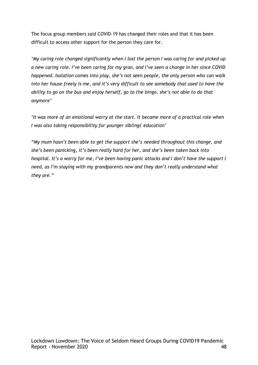The focus group members said COVID-19 has changed their roles and that it has been difficult to access other support for the person they care for.

*'My caring role changed significantly when I lost the person I was caring for and picked up a new caring role. I've been caring for my gran, and I've seen a change in her since COVID happened. Isolation comes into play, she's not seen people, the only person who can walk into her house freely is me, and it's very difficult to see somebody that used to have the ability to go on the bus and enjoy herself, go to the bingo, she's not able to do that anymore'*

*'It was more of an emotional worry at the start. It became more of a practical role when I was also taking responsibility for younger siblings' education'*

*"My mum hasn't been able to get the support she's needed throughout this change, and she's been panicking, it's been really hard for her, and she's been taken back into hospital. It's a worry for me, I've been having panic attacks and I don't have the support I need, as I'm staying with my grandparents now and they don't really understand what they are."*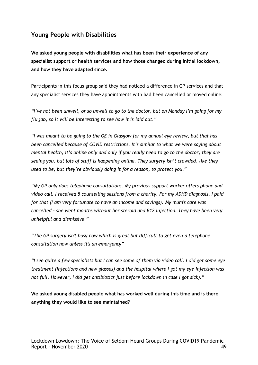## **Young People with Disabilities**

**We asked young people with disabilities what has been their experience of any specialist support or health services and how those changed during initial lockdown, and how they have adapted since.** 

Participants in this focus group said they had noticed a difference in GP services and that any specialist services they have appointments with had been cancelled or moved online:

*"I've not been unwell, or so unwell to go to the doctor, but on Monday I'm going for my flu jab, so it will be interesting to see how it is laid out."*

*"I was meant to be going to the QE in Glasgow for my annual eye review, but that has been cancelled because of COVID restrictions. It's similar to what we were saying about mental health, it's online only and only if you really need to go to the doctor, they are seeing you, but lots of stuff is happening online. They surgery isn't crowded, like they used to be, but they're obviously doing it for a reason, to protect you."*

*"My GP only does telephone consultations. My previous support worker offers phone and video call. I received 5 counselling sessions from a charity. For my ADHD diagnosis, I paid for that (I am very fortunate to have an income and savings). My mum's care was cancelled - she went months without her steroid and B12 injection. They have been very unhelpful and dismissive."*

*"The GP surgery isn't busy now which is great but difficult to get even a telephone consultation now unless it's an emergency"*

*"I see quite a few specialists but I can see some of them via video call. I did get some eye treatment (injections and new glasses) and the hospital where I got my eye injection was not full. However, I did get antibiotics just before lockdown in case I got sick)."*

**We asked young disabled people what has worked well during this time and is there anything they would like to see maintained?**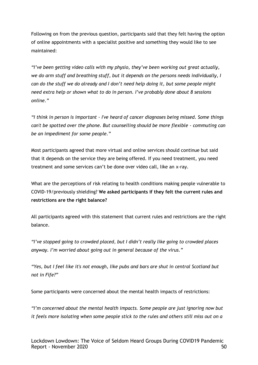Following on from the previous question, participants said that they felt having the option of online appointments with a specialist positive and something they would like to see maintained:

*"I've been getting video calls with my physio, they've been working out great actually, we do arm stuff and breathing stuff, but it depends on the persons needs individually, I can do the stuff we do already and I don't need help doing it, but some people might need extra help or shown what to do in person. I've probably done about 8 sessions online."*

*"I think in person is important - I've heard of cancer diagnoses being missed. Some things can't be spotted over the phone. But counselling should be more flexible - commuting can be an impediment for some people."*

Most participants agreed that more virtual and online services should continue but said that it depends on the service they are being offered. If you need treatment, you need treatment and some services can't be done over video call, like an x-ray.

What are the perceptions of risk relating to health conditions making people vulnerable to COVID-19/previously shielding? **We asked participants if they felt the current rules and restrictions are the right balance?**

All participants agreed with this statement that current rules and restrictions are the right balance.

*"I've stopped going to crowded placed, but I didn't really like going to crowded places anyway. I'm worried about going out in general because of the virus."*

*"Yes, but I feel like it's not enough, like pubs and bars are shut in central Scotland but not in Fife?"*

Some participants were concerned about the mental health impacts of restrictions:

*"I'm concerned about the mental health impacts. Some people are just ignoring now but it feels more isolating when some people stick to the rules and others still miss out on a*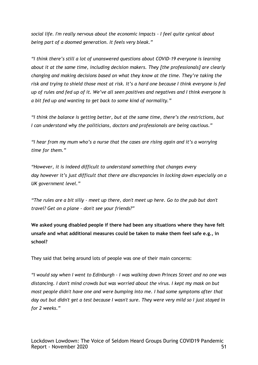*social life. I'm really nervous about the economic impacts - I feel quite cynical about being part of a doomed generation. It feels very bleak."*

*"I think there's still a lot of unanswered questions about COVID-19 everyone is learning about it at the same time, including decision makers. They [the professionals] are clearly changing and making decisions based on what they know at the time. They're taking the risk and trying to shield those most at risk. It's a hard one because I think everyone is fed up of rules and fed up of it. We've all seen positives and negatives and I think everyone is a bit fed up and wanting to get back to some kind of normality."*

*"I think the balance is getting better, but at the same time, there's the restrictions, but I can understand why the politicians, doctors and professionals are being cautious."*

*"I hear from my mum who's a nurse that the cases are rising again and it's a worrying time for them."*

*"However, it is indeed difficult to understand something that changes every day however it's just difficult that there are discrepancies in locking down especially on a UK government level."*

*"The rules are a bit silly - meet up there, don't meet up here. Go to the pub but don't travel? Get on a plane - don't see your friends?"*

**We asked young disabled people if there had been any situations where they have felt unsafe and what additional measures could be taken to make them feel safe e.g., in school?**

They said that being around lots of people was one of their main concerns:

*"I would say when I went to Edinburgh - I was walking down Princes Street and no one was distancing. I don't mind crowds but was worried about the virus. I kept my mask on but most people didn't have one and were bumping into me. I had some symptoms after that day out but didn't get a test because I wasn't sure. They were very mild so I just stayed in for 2 weeks."*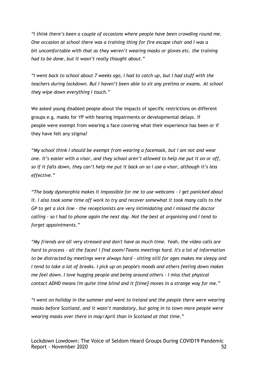*"I think there's been a couple of occasions where people have been crowding round me. One occasion at school there was a training thing for fire escape chair and I was a bit uncomfortable with that as they weren't wearing masks or gloves etc. the training had to be done, but it wasn't really thought about."*

*"I went back to school about 7 weeks ago, I had to catch up, but I had stuff with the teachers during lockdown. But I haven't been able to sit any prelims or exams. At school they wipe down everything I touch."*

We asked young disabled people about the impacts of specific restrictions on different groups e.g. masks for YP with hearing impairments or developmental delays. If people were exempt from wearing a face covering what their experience has been or if they have felt any stigma?

*"My school think I should be exempt from wearing a facemask, but I am not and wear one. It's easier with a visor, and they school aren't allowed to help me put it on or off, so if it falls down, they can't help me put it back on so I use a visor, although it's less effective."*

*"The body dysmorphia makes it impossible for me to use webcams - I get panicked about it. I also took some time off work to try and recover somewhat it took many calls to the GP to get a sick line - the receptionists are very intimidating and I missed the doctor calling - so I had to phone again the next day. Not the best at organising and I tend to forget appointments."*

*"My friends are all very stressed and don't have as much time. Yeah, the video calls are hard to process - all the faces! I find zoom/Teams meetings hard. It's a lot of information to be distracted by meetings were always hard - sitting still for ages makes me sleepy and I tend to take a lot of breaks. I pick up on people's moods and others feeling down makes me feel down. I love hugging people and being around others - I miss that physical contact ADHD means I'm quite time blind and it [time] moves in a strange way for me."*

*"I went on holiday in the summer and went to Ireland and the people there were wearing masks before Scotland, and it wasn't mandatory, but going in to town more people were wearing masks over there in may/April than in Scotland at that time."*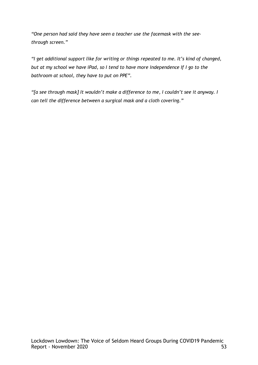*"One person had said they have seen a teacher use the facemask with the seethrough screen."*

*"I get additional support like for writing or things repeated to me. It's kind of changed, but at my school we have iPad, so I tend to have more independence If I go to the bathroom at school, they have to put on PPE".*

*"[a see through mask] It wouldn't make a difference to me, I couldn't see it anyway. I can tell the difference between a surgical mask and a cloth covering."*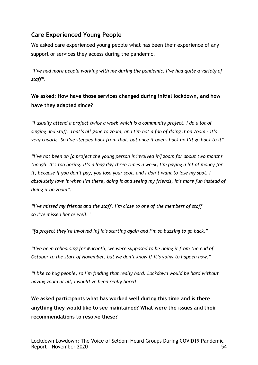# **Care Experienced Young People**

We asked care experienced young people what has been their experience of any support or services they access during the pandemic.

*"I've had more people working with me during the pandemic. I've had quite a variety of staff".*

**We asked: How have those services changed during initial lockdown, and how have they adapted since?** 

*"I usually attend a project twice a week which is a community project. I do a lot of singing and stuff. That's all gone to zoom, and I'm not a fan of doing it on Zoom – it's very chaotic. So I've stepped back from that, but once it opens back up I'll go back to it"*

*"I've not been on [a project the young person is involved in] zoom for about two months though. It's too boring. It's a long day three times a week, I'm paying a lot of money for it, because if you don't pay, you lose your spot, and I don't want to lose my spot. I absolutely love it when I'm there, doing it and seeing my friends, it's more fun instead of doing it on zoom".*

*"I've missed my friends and the staff. I'm close to one of the members of staff so I've missed her as well."*

*"[a project they're involved in] It's starting again and I'm so buzzing to go back."*

*"I've been rehearsing for Macbeth, we were supposed to be doing it from the end of October to the start of November, but we don't know if it's going to happen now."*

*"I like to hug people, so I'm finding that really hard. Lockdown would be hard without having zoom at all, I would've been really bored"*

**We asked participants what has worked well during this time and is there anything they would like to see maintained? What were the issues and their recommendations to resolve these?**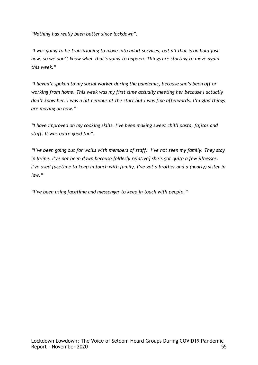*"Nothing has really been better since lockdown".*

*"I was going to be transitioning to move into adult services, but all that is on hold just now, so we don't know when that's going to happen. Things are starting to move again this week."*

*"I haven't spoken to my social worker during the pandemic, because she's been off or working from home. This week was my first time actually meeting her because I actually don't know her. I was a bit nervous at the start but I was fine afterwards. I'm glad things are moving on now."*

*"I have improved on my cooking skills. I've been making sweet chilli pasta, fajitas and stuff. It was quite good fun".*

*"I've been going out for walks with members of staff. I've not seen my family. They stay in Irvine. I've not been down because [elderly relative] she's got quite a few illnesses. I've used facetime to keep in touch with family. I've got a brother and a (nearly) sister in law."*

*"I've been using facetime and messenger to keep in touch with people."*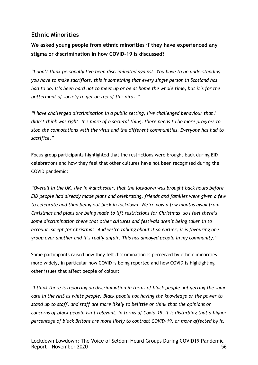## **Ethnic Minorities**

**We asked young people from ethnic minorities if they have experienced any stigma or discrimination in how COVID-19 is discussed?**

*"I don't think personally I've been discriminated against. You have to be understanding you have to make sacrifices, this is something that every single person in Scotland has had to do. It's been hard not to meet up or be at home the whole time, but it's for the betterment of society to get on top of this virus."*

*"I have challenged discrimination in a public setting, I've challenged behaviour that I didn't think was right. It's more of a societal thing, there needs to be more progress to stop the connotations with the virus and the different communities. Everyone has had to sacrifice."*

Focus group participants highlighted that the restrictions were brought back during EID celebrations and how they feel that other cultures have not been recognised during the COVID pandemic:

*"Overall in the UK, like in Manchester, that the lockdown was brought back hours before EID people had already made plans and celebrating, friends and families were given a few to celebrate and then being put back in lockdown. We're now a few months away from Christmas and plans are being made to lift restrictions for Christmas, so I feel there's some discrimination there that other cultures and festivals aren't being taken in to account except for Christmas. And we're talking about it so earlier, it is favouring one group over another and it's really unfair. This has annoyed people in my community."*

Some participants raised how they felt discrimination is perceived by ethnic minorities more widely, in particular how COVID is being reported and how COVID is highlighting other issues that affect people of colour:

*"I think there is reporting on discrimination in terms of black people not getting the same care in the NHS as white people. Black people not having the knowledge or the power to stand up to staff, and staff are more likely to belittle or think that the opinions or concerns of black people isn't relevant. In terms of Covid-19, it is disturbing that a higher percentage of black Britons are more likely to contract COVID-19, or more affected by it.*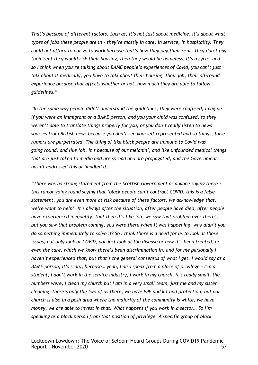*That's because of different factors. Such as, it's not just about medicine, it's about what types of jobs these people are in – they're mostly in care, in service, in hospitality. They could not afford to not go to work because that's how they pay their rent. They don't pay their rent they would risk their housing, then they would be homeless. It's a cycle, and so I think when you're talking about BAME people's experiences of Covid, you can't just talk about it medically, you have to talk about their housing, their job, their all-round experience because that affects whether or not, how much they are able to follow guidelines."*

*"In the same way people didn't understand the guidelines, they were confused, imagine if you were an immigrant or a BAME person, and you your child was confused, so they weren't able to translate things properly for you, or you don't really listen to news sources from British news because you don't see yourself represented and so things, false rumors are perpetrated. The thing of like black people are immune to Covid was going round, and like 'oh, it's because of our melanin', and like unfounded medical things that are just taken to media and are spread and are propagated, and the Government hasn't addressed this or handled it.*

*"There was no strong statement from the Scottish Government or anyone saying there's this rumor going round saying that 'black people can't contract COVID, this is a false statement, you are even more at risk because of these factors, we acknowledge that, we're want to help'. It's always after the situation, after people have died, after people have experienced inequality, that then it's like 'oh, we saw that problem over there', but you saw that problem coming, you were there when it was happening, why didn't you do something immediately to solve it? So I think there is a need for us to look at those issues, not only look at COVID, not just look at the disease or how it's been treated, or even the care, which we know there's been discrimination in, and for me personally I haven't experienced that, but that's the general consensus of what I get. I would say as a BAME person, it's scary, because… yeah, I also speak from a place of privilege – I'm a student, I don't work in the service industry, I work in my church, it's really small, the numbers were, I clean my church but I am in a very small team, just me and my sister cleaning, there's only the two of us there, we have PPE and kit and protection, but our church is also in a posh area where the majority of the community is white, we have money, we are able to invest in that. What happens if you work in a sector… So I'm speaking as a black person from that position of privilege. A specific group of black*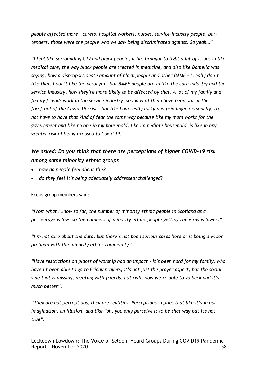*people affected more – carers, hospital workers, nurses, service-industry people, bartenders, those were the people who we saw being discriminated against. So yeah…"*

*"I feel like surrounding C19 and black people, it has brought to light a lot of issues in like medical care, the way black people are treated in medicine, and also like Daniella was saying, how a disproportionate amount of black people and other BAME – I really don't like that, I don't like the acronym – but BAME people are in like the care industry and the service industry, how they're more likely to be affected by that. A lot of my family and family friends work in the service industry, so many of them have been put at the forefront of the Covid-19 crisis, but like I am really lucky and privileged personally, to not have to have that kind of fear the same way because like my mom works for the government and like no one in my household, like immediate household, is like in any greater risk of being exposed to Covid 19."*

## *We asked: Do you think that there are perceptions of higher COVID-19 risk among some minority ethnic groups*

- *how do people feel about this?*
- *do they feel it's being adequately addressed/challenged?*

Focus group members said:

*"From what I know so far, the number of minority ethnic people in Scotland as a percentage is low, so the numbers of minority ethinc people getting the virus is lower."*

*"I'm not sure about the data, but there's not been serious cases here or it being a wider problem with the minority ethinc community."*

*"Have restrictions on places of worship had an impact – it's been hard for my family, who haven't been able to go to Friday prayers, it's not just the prayer aspect, but the social side that is missing, meeting with friends, but right now we're able to go back and it's much better".*

*"They are not perceptions, they are realities. Perceptions implies that like it's in our imagination, an illusion, and like "oh, you only perceive it to be that way but it's not true".*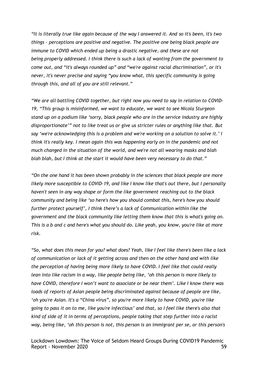*"It is literally true like again because of the way I answered it. And so it's been, it's two things - perceptions are positive and negative. The positive one being black people are immune to COVID which ended up being a drastic negative, and these are not being properly addressed. I think there is such a lack of wanting from the government to come out, and "it's always rounded up" and "we're against racial discrimination", or it's never, it's never precise and saying "you know what, this specific community is going through this, and all of you are still relevant."*

*"We are all battling COVID together, but right now you need to say in relation to COVID-19, "This group is misinformed, we want to educate, we want to see Nicola Sturgeon stand up on a podium like 'sorry, black people who are in the service industry are highly disproportionate'" not to like treat us or give us stricter rules or anything like that. But say 'we're acknowledging this is a problem and we're working on a solution to solve it.' I think it's really key. I mean again this was happening early on in the pandemic and not much changed in the situation of the world, and we're not all wearing masks and blah blah blah, but I think at the start it would have been very necessary to do that."*

*"On the one hand it has been shown probably in the sciences that black people are more likely more susceptible to COVID-19, and like I know like that's out there, but I personally haven't seen in any way shape or form the like government reaching out to the black community and being like 'so here's how you should combat this, here's how you should further protect yourself', I think there's a lack of Communication within like the government and the black community like letting them know that this is what's going on. This is a b and c and here's what you should do. Like yeah, you know, you're like at more risk.*

*"So, what does this mean for you? what does? Yeah, like I feel like there's been like a lack of communication or lack of it getting across and then on the other hand and with like the perception of having being more likely to have COVID. I feel like that could really lean into like racism in a way, like people being like, 'oh this person is more likely to have COVID, therefore I won't want to associate or be near them'. Like I know there was loads of reports of Asian people being discriminated against because of people are like, 'oh you're Asian. It's a "China virus", so you're more likely to have COVID, you're like going to pass it on to me, like you're infectious' and that, so I feel like there's also that kind of side of it in terms of perceptions, people taking that step further into a racist way, being like, 'oh this person is not, this person is an immigrant per se, or this person's*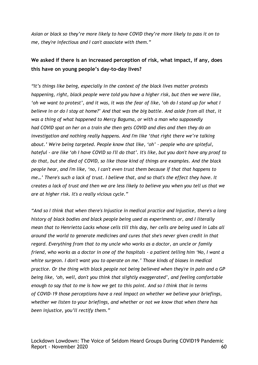*Asian or black so they're more likely to have COVID they're more likely to pass it on to me, they're infectious and I can't associate with them."*

## **We asked if there is an increased perception of risk, what impact, if any, does this have on young people's day-to-day lives?**

*"It's things like being, especially in the context of the black lives matter protests happening, right, black people were told you have a higher risk, but then we were like, 'oh we want to protest', and it was, it was the fear of like, 'oh do I stand up for what I believe in or do I stay at home?' And that was the big battle. And aside from all that, it was a thing of what happened to Mercy Baguma, or with a man who supposedly had COVID spat on her on a train she then gets COVID and dies and then they do an investigation and nothing really happens. And I'm like 'that right there we're talking about.' We're being targeted. People know that like, 'oh' - people who are spiteful, hateful - are like 'oh I have COVID so I'll do that'. It's like, but you don't have any proof to do that, but she died of COVID, so like those kind of things are examples. And the black people hear, and I'm like, 'no, I can't even trust them because if that that happens to me…' There's such a lack of trust. I believe that, and so that's the effect they have. It creates a lack of trust and then we are less likely to believe you when you tell us that we are at higher risk. It's a really vicious cycle."*

*"And so I think that when there's Injustice in medical practice and Injustice, there's a long history of black bodies and black people being used as experiments or, and I literally mean that to Henrietta Lacks whose cells till this day, her cells are being used in Labs all around the world to generate medicines and cures that she's never given credit in that regard. Everything from that to my uncle who works as a doctor, an uncle or family friend, who works as a doctor in one of the hospitals - a patient telling him 'No, I want a white surgeon. I don't want you to operate on me.' Those kinds of biases in medical practice. Or the thing with black people not being believed when they're in pain and a GP being like, 'oh, well, don't you think that slightly exaggerated', and feeling comfortable enough to say that to me is how we get to this point. And so I think that in terms of COVID-19 those perceptions have a real impact on whether we believe your briefings, whether we listen to your briefings, and whether or not we know that when there has been injustice, you'll rectify them."*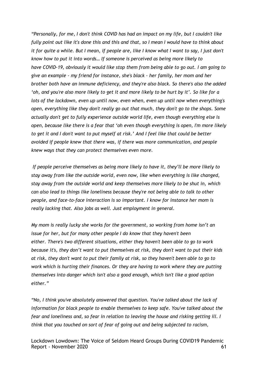*"Personally, for me, I don't think COVID has had an impact on my life, but I couldn't like fully point out like it's done this and this and that, so I mean I would have to think about it for quite a while. But I mean, if people are, like I know what I want to say, I just don't know how to put it into words… If someone is perceived as being more likely to have COVID-19, obviously it would like stop them from being able to go out. I am going to give an example - my friend for instance, she's black - her family, her mom and her brother both have an immune deficiency, and they're also black. So there's also the added 'oh, and you're also more likely to get it and more likely to be hurt by it'. So like for a lots of the lockdown, even up until now, even when, even up until now when everything's open, everything like they don't really go out that much, they don't go to the shops. Some actually don't get to fully experience outside world life, even though everything else is open, because like there is a fear that 'oh even though everything is open, I'm more likely to get it and I don't want to put myself at risk.' And I feel like that could be better avoided if people knew that there was, if there was more communication, and people knew ways that they can protect themselves even more.*

*If people perceive themselves as being more likely to have it, they'll be more likely to stay away from like the outside world, even now, like when everything is like changed, stay away from the outside world and keep themselves more likely to be shut in, which can also lead to things like loneliness because they're not being able to talk to other people, and face-to-face interaction is so important. I know for instance her mom is really lacking that. Also jobs as well. Just employment in general.*

*My mom is really lucky she works for the government, so working from home isn't an issue for her, but for many other people I do know that they haven't been either. There's two different situations, either they haven't been able to go to work because it's, they don't want to put themselves at risk, they don't want to put their kids at risk, they don't want to put their family at risk, so they haven't been able to go to work which is hurting their finances. Or they are having to work where they are putting themselves into danger which isn't also a good enough, which isn't like a good option either."*

*"No, I think you've absolutely answered that question. You've talked about the lack of information for black people to enable themselves to keep safe. You've talked about the fear and loneliness and, so fear in relation to leaving the house and risking getting ill. I think that you touched on sort of fear of going out and being subjected to racism,*